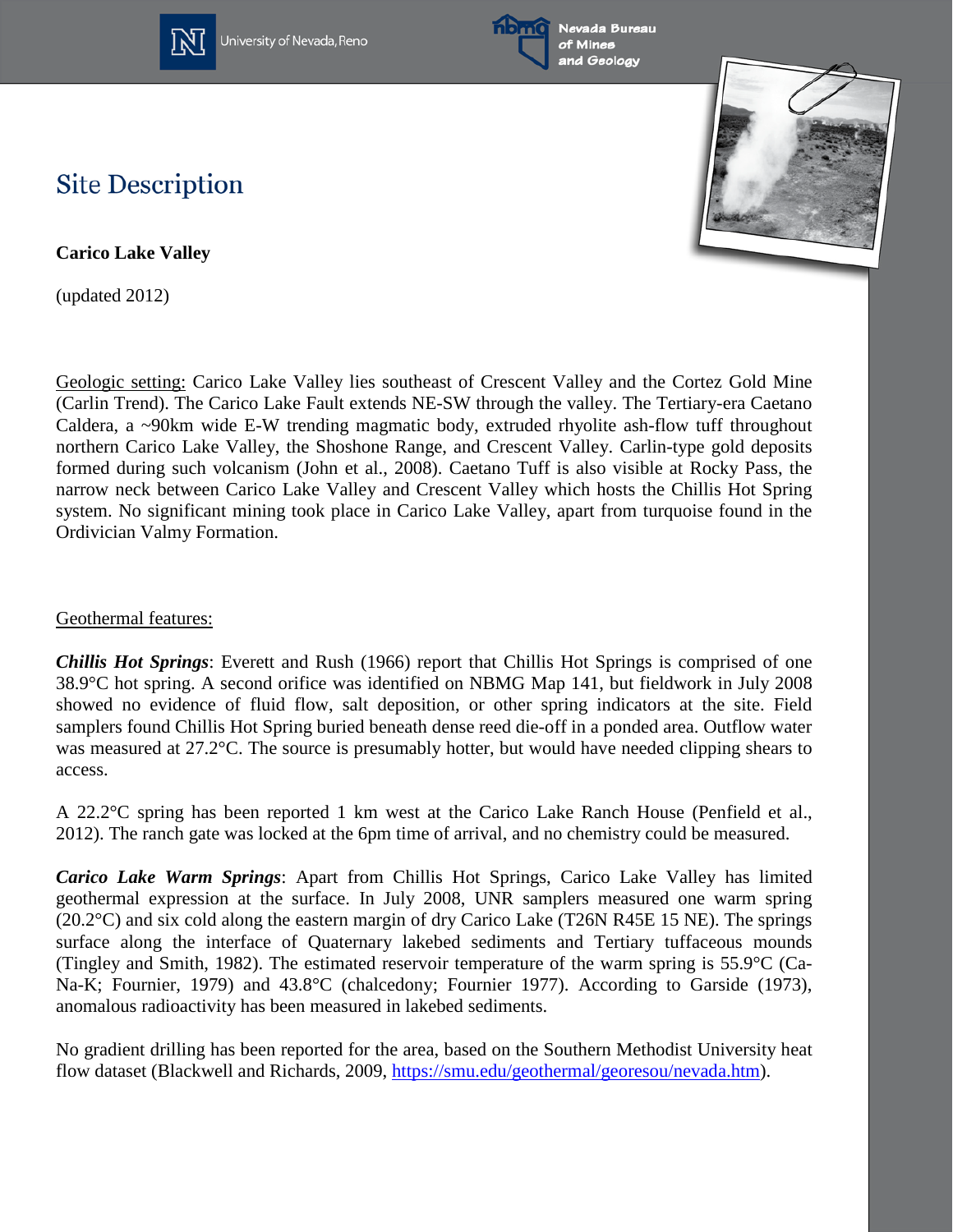

University of Nevada, Reno





## **Site Description**

**Carico Lake Valley**

(updated 2012)

Geologic setting: Carico Lake Valley lies southeast of Crescent Valley and the Cortez Gold Mine (Carlin Trend). The Carico Lake Fault extends NE-SW through the valley. The Tertiary-era Caetano Caldera, a ~90km wide E-W trending magmatic body, extruded rhyolite ash-flow tuff throughout northern Carico Lake Valley, the Shoshone Range, and Crescent Valley. Carlin-type gold deposits formed during such volcanism (John et al., 2008). Caetano Tuff is also visible at Rocky Pass, the narrow neck between Carico Lake Valley and Crescent Valley which hosts the Chillis Hot Spring system. No significant mining took place in Carico Lake Valley, apart from turquoise found in the Ordivician Valmy Formation.

## Geothermal features:

*Chillis Hot Springs*: Everett and Rush (1966) report that Chillis Hot Springs is comprised of one 38.9°C hot spring. A second orifice was identified on NBMG Map 141, but fieldwork in July 2008 showed no evidence of fluid flow, salt deposition, or other spring indicators at the site. Field samplers found Chillis Hot Spring buried beneath dense reed die-off in a ponded area. Outflow water was measured at 27.2°C. The source is presumably hotter, but would have needed clipping shears to access.

A 22.2°C spring has been reported 1 km west at the Carico Lake Ranch House (Penfield et al., 2012). The ranch gate was locked at the 6pm time of arrival, and no chemistry could be measured.

*Carico Lake Warm Springs*: Apart from Chillis Hot Springs, Carico Lake Valley has limited geothermal expression at the surface. In July 2008, UNR samplers measured one warm spring (20.2°C) and six cold along the eastern margin of dry Carico Lake (T26N R45E 15 NE). The springs surface along the interface of Quaternary lakebed sediments and Tertiary tuffaceous mounds (Tingley and Smith, 1982). The estimated reservoir temperature of the warm spring is 55.9°C (Ca-Na-K; Fournier, 1979) and 43.8°C (chalcedony; Fournier 1977). According to Garside (1973), anomalous radioactivity has been measured in lakebed sediments.

No gradient drilling has been reported for the area, based on the Southern Methodist University heat flow dataset (Blackwell and Richards, 2009, [https://smu.edu/geothermal/georesou/nevada.htm\)](https://smu.edu/geothermal/georesou/nevada.htm).